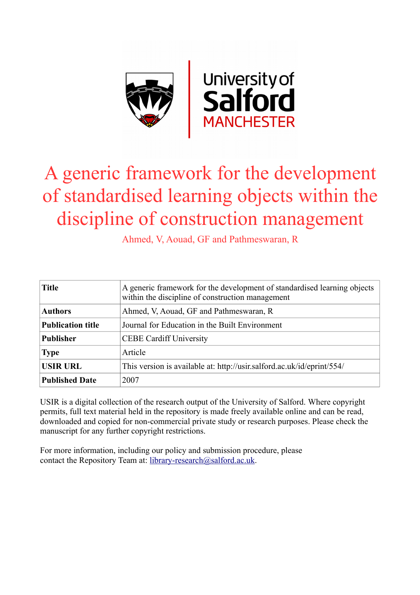

# A generic framework for the development of standardised learning objects within the discipline of construction management

Ahmed, V, Aouad, GF and Pathmeswaran, R

| <b>Title</b>             | A generic framework for the development of standardised learning objects<br>within the discipline of construction management |  |
|--------------------------|------------------------------------------------------------------------------------------------------------------------------|--|
| <b>Authors</b>           | Ahmed, V, Aouad, GF and Pathmeswaran, R                                                                                      |  |
| <b>Publication title</b> | Journal for Education in the Built Environment                                                                               |  |
| <b>Publisher</b>         | <b>CEBE Cardiff University</b>                                                                                               |  |
| <b>Type</b>              | Article                                                                                                                      |  |
| <b>USIR URL</b>          | This version is available at: http://usir.salford.ac.uk/id/eprint/554/                                                       |  |
| <b>Published Date</b>    | 2007                                                                                                                         |  |

USIR is a digital collection of the research output of the University of Salford. Where copyright permits, full text material held in the repository is made freely available online and can be read, downloaded and copied for non-commercial private study or research purposes. Please check the manuscript for any further copyright restrictions.

For more information, including our policy and submission procedure, please contact the Repository Team at: [library-research@salford.ac.uk.](mailto:library-research@salford.ac.uk)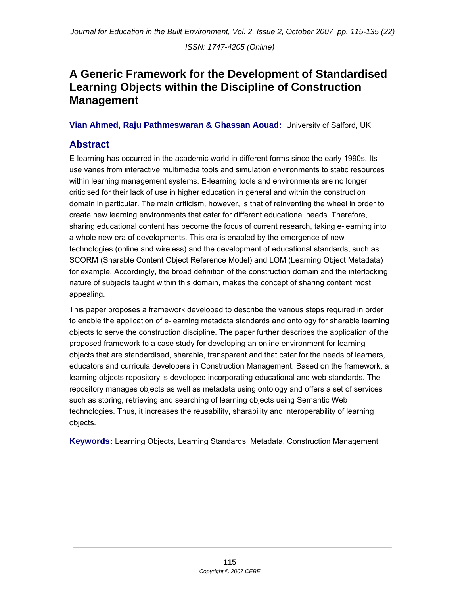*ISSN: 1747-4205 (Online)* 

# **A Generic Framework for the Development of Standardised Learning Objects within the Discipline of Construction Management**

**Vian Ahmed, Raju Pathmeswaran & Ghassan Aouad:** University of Salford, UK

## **Abstract**

E-learning has occurred in the academic world in different forms since the early 1990s. Its use varies from interactive multimedia tools and simulation environments to static resources within learning management systems. E-learning tools and environments are no longer criticised for their lack of use in higher education in general and within the construction domain in particular. The main criticism, however, is that of reinventing the wheel in order to create new learning environments that cater for different educational needs. Therefore, sharing educational content has become the focus of current research, taking e-learning into a whole new era of developments. This era is enabled by the emergence of new technologies (online and wireless) and the development of educational standards, such as SCORM (Sharable Content Object Reference Model) and LOM (Learning Object Metadata) for example. Accordingly, the broad definition of the construction domain and the interlocking nature of subjects taught within this domain, makes the concept of sharing content most appealing.

This paper proposes a framework developed to describe the various steps required in order to enable the application of e-learning metadata standards and ontology for sharable learning objects to serve the construction discipline. The paper further describes the application of the proposed framework to a case study for developing an online environment for learning objects that are standardised, sharable, transparent and that cater for the needs of learners, educators and curricula developers in Construction Management. Based on the framework, a learning objects repository is developed incorporating educational and web standards. The repository manages objects as well as metadata using ontology and offers a set of services such as storing, retrieving and searching of learning objects using Semantic Web technologies. Thus, it increases the reusability, sharability and interoperability of learning objects.

**Keywords:** Learning Objects, Learning Standards, Metadata, Construction Management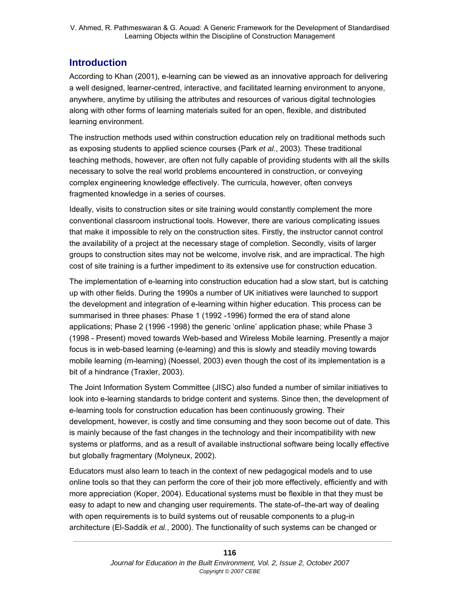## **Introduction**

According to Khan (2001), e-learning can be viewed as an innovative approach for delivering a well designed, learner-centred, interactive, and facilitated learning environment to anyone, anywhere, anytime by utilising the attributes and resources of various digital technologies along with other forms of learning materials suited for an open, flexible, and distributed learning environment.

The instruction methods used within construction education rely on traditional methods such as exposing students to applied science courses (Park *et al*., 2003). These traditional teaching methods, however, are often not fully capable of providing students with all the skills necessary to solve the real world problems encountered in construction, or conveying complex engineering knowledge effectively. The curricula, however, often conveys fragmented knowledge in a series of courses.

Ideally, visits to construction sites or site training would constantly complement the more conventional classroom instructional tools. However, there are various complicating issues that make it impossible to rely on the construction sites. Firstly, the instructor cannot control the availability of a project at the necessary stage of completion. Secondly, visits of larger groups to construction sites may not be welcome, involve risk, and are impractical. The high cost of site training is a further impediment to its extensive use for construction education.

The implementation of e-learning into construction education had a slow start, but is catching up with other fields. During the 1990s a number of UK initiatives were launched to support the development and integration of e-learning within higher education. This process can be summarised in three phases: Phase 1 (1992 -1996) formed the era of stand alone applications; Phase 2 (1996 -1998) the generic 'online' application phase; while Phase 3 (1998 - Present) moved towards Web-based and Wireless Mobile learning. Presently a major focus is in web-based learning (e-learning) and this is slowly and steadily moving towards mobile learning (m-learning) (Noessel, 2003) even though the cost of its implementation is a bit of a hindrance (Traxler, 2003).

The Joint Information System Committee (JISC) also funded a number of similar initiatives to look into e-learning standards to bridge content and systems. Since then, the development of e-learning tools for construction education has been continuously growing. Their development, however, is costly and time consuming and they soon become out of date. This is mainly because of the fast changes in the technology and their incompatibility with new systems or platforms, and as a result of available instructional software being locally effective but globally fragmentary (Molyneux, 2002).

Educators must also learn to teach in the context of new pedagogical models and to use online tools so that they can perform the core of their job more effectively, efficiently and with more appreciation (Koper, 2004). Educational systems must be flexible in that they must be easy to adapt to new and changing user requirements. The state-of–the-art way of dealing with open requirements is to build systems out of reusable components to a plug-in architecture (El-Saddik *et al.*, 2000). The functionality of such systems can be changed or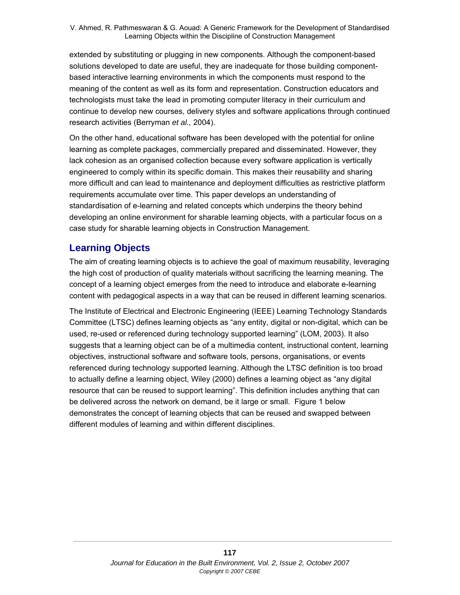extended by substituting or plugging in new components. Although the component-based solutions developed to date are useful, they are inadequate for those building componentbased interactive learning environments in which the components must respond to the meaning of the content as well as its form and representation. Construction educators and technologists must take the lead in promoting computer literacy in their curriculum and continue to develop new courses, delivery styles and software applications through continued research activities (Berryman *et al.,* 2004).

On the other hand, educational software has been developed with the potential for online learning as complete packages, commercially prepared and disseminated. However, they lack cohesion as an organised collection because every software application is vertically engineered to comply within its specific domain. This makes their reusability and sharing more difficult and can lead to maintenance and deployment difficulties as restrictive platform requirements accumulate over time. This paper develops an understanding of standardisation of e-learning and related concepts which underpins the theory behind developing an online environment for sharable learning objects, with a particular focus on a case study for sharable learning objects in Construction Management.

# **Learning Objects**

The aim of creating learning objects is to achieve the goal of maximum reusability, leveraging the high cost of production of quality materials without sacrificing the learning meaning. The concept of a learning object emerges from the need to introduce and elaborate e-learning content with pedagogical aspects in a way that can be reused in different learning scenarios.

The Institute of Electrical and Electronic Engineering (IEEE) Learning Technology Standards Committee (LTSC) defines learning objects as "any entity, digital or non-digital, which can be used, re-used or referenced during technology supported learning" (LOM, 2003). It also suggests that a learning object can be of a multimedia content, instructional content, learning objectives, instructional software and software tools, persons, organisations, or events referenced during technology supported learning. Although the LTSC definition is too broad to actually define a learning object, Wiley (2000) defines a learning object as "any digital resource that can be reused to support learning". This definition includes anything that can be delivered across the network on demand, be it large or small. Figure 1 below demonstrates the concept of learning objects that can be reused and swapped between different modules of learning and within different disciplines.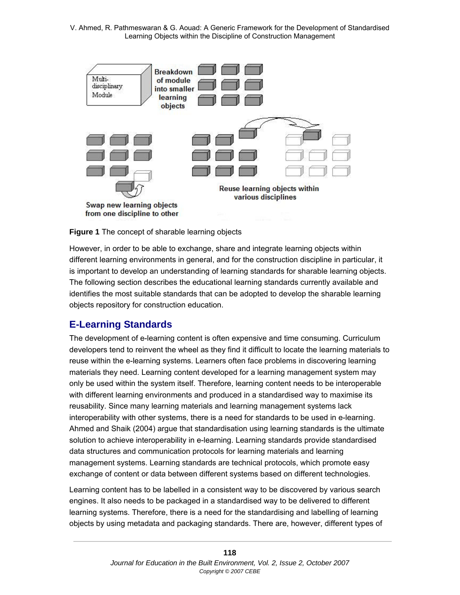



However, in order to be able to exchange, share and integrate learning objects within different learning environments in general, and for the construction discipline in particular, it is important to develop an understanding of learning standards for sharable learning objects. The following section describes the educational learning standards currently available and identifies the most suitable standards that can be adopted to develop the sharable learning objects repository for construction education.

# **E-Learning Standards**

The development of e-learning content is often expensive and time consuming. Curriculum developers tend to reinvent the wheel as they find it difficult to locate the learning materials to reuse within the e-learning systems. Learners often face problems in discovering learning materials they need. Learning content developed for a learning management system may only be used within the system itself. Therefore, learning content needs to be interoperable with different learning environments and produced in a standardised way to maximise its reusability. Since many learning materials and learning management systems lack interoperability with other systems, there is a need for standards to be used in e-learning. Ahmed and Shaik (2004) argue that standardisation using learning standards is the ultimate solution to achieve interoperability in e-learning. Learning standards provide standardised data structures and communication protocols for learning materials and learning management systems. Learning standards are technical protocols, which promote easy exchange of content or data between different systems based on different technologies.

Learning content has to be labelled in a consistent way to be discovered by various search engines. It also needs to be packaged in a standardised way to be delivered to different learning systems. Therefore, there is a need for the standardising and labelling of learning objects by using metadata and packaging standards. There are, however, different types of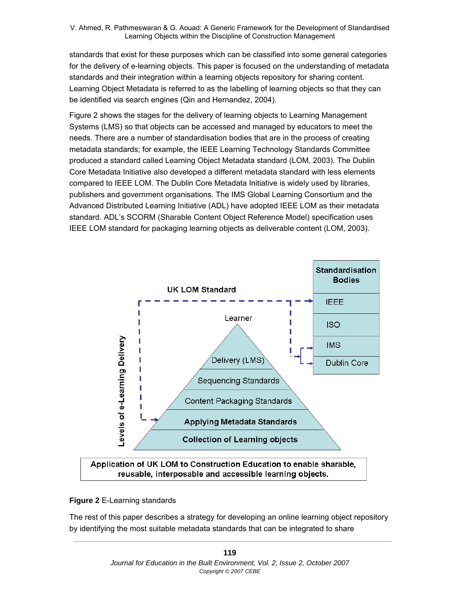standards that exist for these purposes which can be classified into some general categories for the delivery of e-learning objects. This paper is focused on the understanding of metadata standards and their integration within a learning objects repository for sharing content. Learning Object Metadata is referred to as the labelling of learning objects so that they can be identified via search engines (Qin and Hernandez, 2004).

Figure 2 shows the stages for the delivery of learning objects to Learning Management Systems (LMS) so that objects can be accessed and managed by educators to meet the needs. There are a number of standardisation bodies that are in the process of creating metadata standards; for example, the IEEE Learning Technology Standards Committee produced a standard called Learning Object Metadata standard (LOM, 2003). The Dublin Core Metadata Initiative also developed a different metadata standard with less elements compared to IEEE LOM. The Dublin Core Metadata Initiative is widely used by libraries, publishers and government organisations. The IMS Global Learning Consortium and the Advanced Distributed Learning Initiative (ADL) have adopted IEEE LOM as their metadata standard. ADL's SCORM (Sharable Content Object Reference Model) specification uses IEEE LOM standard for packaging learning objects as deliverable content (LOM, 2003).



#### **Figure 2** E-Learning standards

The rest of this paper describes a strategy for developing an online learning object repository by identifying the most suitable metadata standards that can be integrated to share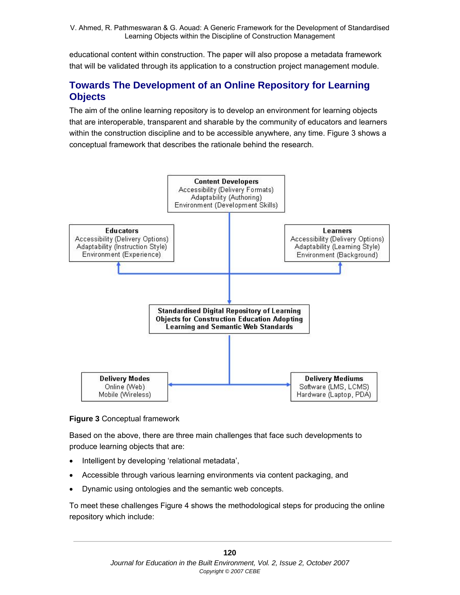educational content within construction. The paper will also propose a metadata framework that will be validated through its application to a construction project management module.

# **Towards The Development of an Online Repository for Learning Objects**

The aim of the online learning repository is to develop an environment for learning objects that are interoperable, transparent and sharable by the community of educators and learners within the construction discipline and to be accessible anywhere, any time. Figure 3 shows a conceptual framework that describes the rationale behind the research.



#### **Figure 3** Conceptual framework

Based on the above, there are three main challenges that face such developments to produce learning objects that are:

- Intelligent by developing 'relational metadata',
- Accessible through various learning environments via content packaging, and
- Dynamic using ontologies and the semantic web concepts.

To meet these challenges Figure 4 shows the methodological steps for producing the online repository which include: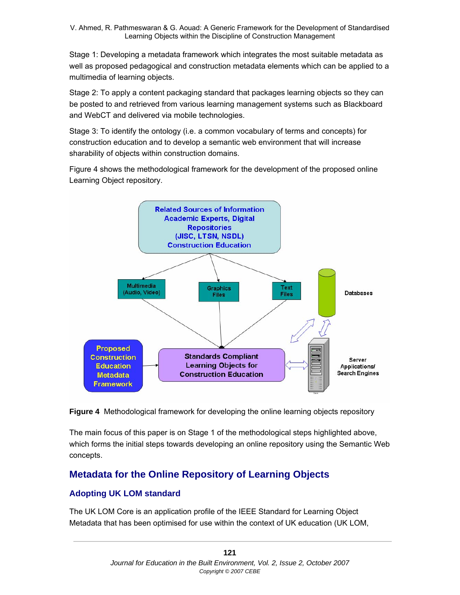Stage 1: Developing a metadata framework which integrates the most suitable metadata as well as proposed pedagogical and construction metadata elements which can be applied to a multimedia of learning objects.

Stage 2: To apply a content packaging standard that packages learning objects so they can be posted to and retrieved from various learning management systems such as Blackboard and WebCT and delivered via mobile technologies.

Stage 3: To identify the ontology (i.e. a common vocabulary of terms and concepts) for construction education and to develop a semantic web environment that will increase sharability of objects within construction domains.

Figure 4 shows the methodological framework for the development of the proposed online Learning Object repository.





The main focus of this paper is on Stage 1 of the methodological steps highlighted above, which forms the initial steps towards developing an online repository using the Semantic Web concepts.

# **Metadata for the Online Repository of Learning Objects**

## **Adopting UK LOM standard**

The UK LOM Core is an application profile of the IEEE Standard for Learning Object Metadata that has been optimised for use within the context of UK education (UK LOM,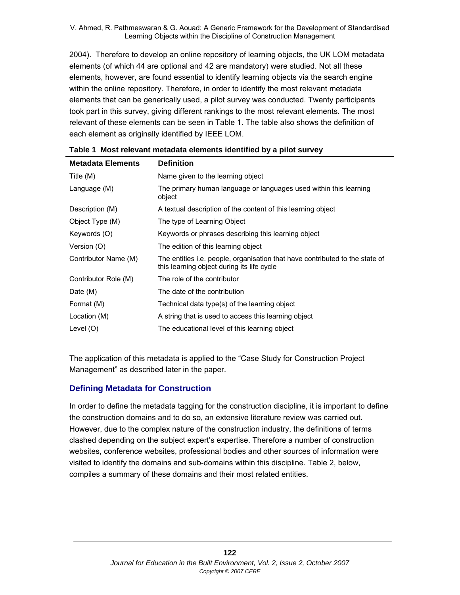2004). Therefore to develop an online repository of learning objects, the UK LOM metadata elements (of which 44 are optional and 42 are mandatory) were studied. Not all these elements, however, are found essential to identify learning objects via the search engine within the online repository. Therefore, in order to identify the most relevant metadata elements that can be generically used, a pilot survey was conducted. Twenty participants took part in this survey, giving different rankings to the most relevant elements. The most relevant of these elements can be seen in Table 1. The table also shows the definition of each element as originally identified by IEEE LOM.

| <b>Metadata Elements</b> | <b>Definition</b>                                                                                                          |
|--------------------------|----------------------------------------------------------------------------------------------------------------------------|
| Title (M)                | Name given to the learning object                                                                                          |
| Language (M)             | The primary human language or languages used within this learning<br>object                                                |
| Description (M)          | A textual description of the content of this learning object                                                               |
| Object Type (M)          | The type of Learning Object                                                                                                |
| Keywords (O)             | Keywords or phrases describing this learning object                                                                        |
| Version (O)              | The edition of this learning object                                                                                        |
| Contributor Name (M)     | The entities i.e. people, organisation that have contributed to the state of<br>this learning object during its life cycle |
| Contributor Role (M)     | The role of the contributor                                                                                                |
| Date (M)                 | The date of the contribution                                                                                               |
| Format (M)               | Technical data type(s) of the learning object                                                                              |
| Location (M)             | A string that is used to access this learning object                                                                       |
| Level (O)                | The educational level of this learning object                                                                              |

**Table 1 Most relevant metadata elements identified by a pilot survey**

The application of this metadata is applied to the "Case Study for Construction Project Management" as described later in the paper.

#### **Defining Metadata for Construction**

In order to define the metadata tagging for the construction discipline, it is important to define the construction domains and to do so, an extensive literature review was carried out. However, due to the complex nature of the construction industry, the definitions of terms clashed depending on the subject expert's expertise. Therefore a number of construction websites, conference websites, professional bodies and other sources of information were visited to identify the domains and sub-domains within this discipline. Table 2, below, compiles a summary of these domains and their most related entities.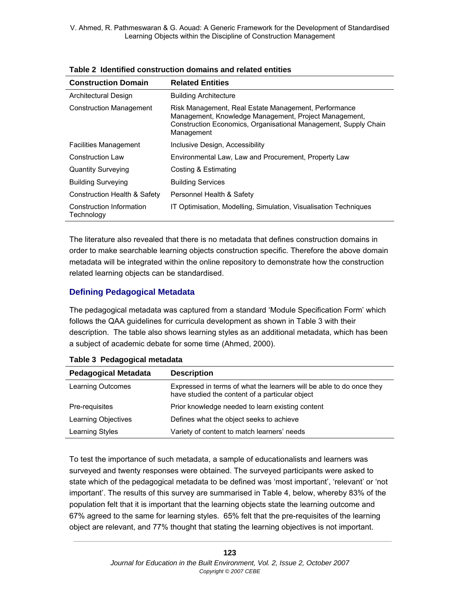| <b>Construction Domain</b>             | <b>Related Entities</b>                                                                                                                                                                        |
|----------------------------------------|------------------------------------------------------------------------------------------------------------------------------------------------------------------------------------------------|
| Architectural Design                   | <b>Building Architecture</b>                                                                                                                                                                   |
| Construction Management                | Risk Management, Real Estate Management, Performance<br>Management, Knowledge Management, Project Management,<br>Construction Economics, Organisational Management, Supply Chain<br>Management |
| <b>Facilities Management</b>           | Inclusive Design, Accessibility                                                                                                                                                                |
| Construction Law                       | Environmental Law, Law and Procurement, Property Law                                                                                                                                           |
| <b>Quantity Surveying</b>              | Costing & Estimating                                                                                                                                                                           |
| <b>Building Surveying</b>              | <b>Building Services</b>                                                                                                                                                                       |
| Construction Health & Safety           | Personnel Health & Safety                                                                                                                                                                      |
| Construction Information<br>Technology | IT Optimisation, Modelling, Simulation, Visualisation Techniques                                                                                                                               |

|  |  | Table 2 Identified construction domains and related entities |
|--|--|--------------------------------------------------------------|
|  |  |                                                              |

The literature also revealed that there is no metadata that defines construction domains in order to make searchable learning objects construction specific. Therefore the above domain metadata will be integrated within the online repository to demonstrate how the construction related learning objects can be standardised.

#### **Defining Pedagogical Metadata**

The pedagogical metadata was captured from a standard 'Module Specification Form' which follows the QAA guidelines for curricula development as shown in Table 3 with their description. The table also shows learning styles as an additional metadata, which has been a subject of academic debate for some time (Ahmed, 2000).

| <b>Pedagogical Metadata</b> | <b>Description</b>                                                                                                      |
|-----------------------------|-------------------------------------------------------------------------------------------------------------------------|
| Learning Outcomes           | Expressed in terms of what the learners will be able to do once they<br>have studied the content of a particular object |
| Pre-requisites              | Prior knowledge needed to learn existing content                                                                        |
| Learning Objectives         | Defines what the object seeks to achieve                                                                                |
| Learning Styles             | Variety of content to match learners' needs                                                                             |

| Table 3 Pedagogical metadata |
|------------------------------|
|------------------------------|

To test the importance of such metadata, a sample of educationalists and learners was surveyed and twenty responses were obtained. The surveyed participants were asked to state which of the pedagogical metadata to be defined was 'most important', 'relevant' or 'not important'. The results of this survey are summarised in Table 4, below, whereby 83% of the population felt that it is important that the learning objects state the learning outcome and 67% agreed to the same for learning styles. 65% felt that the pre-requisites of the learning object are relevant, and 77% thought that stating the learning objectives is not important.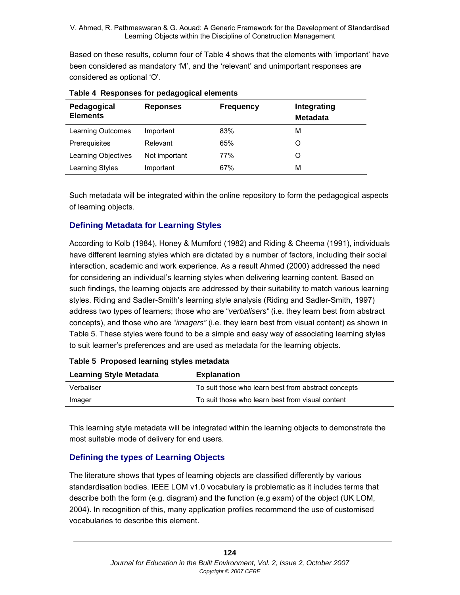Based on these results, column four of Table 4 shows that the elements with 'important' have been considered as mandatory 'M', and the 'relevant' and unimportant responses are considered as optional 'O'.

| Pedagogical<br><b>Elements</b> | <b>Reponses</b> | <b>Frequency</b> | Integrating<br><b>Metadata</b> |
|--------------------------------|-----------------|------------------|--------------------------------|
| Learning Outcomes              | Important       | 83%              | М                              |
| Prerequisites                  | Relevant        | 65%              |                                |
| Learning Objectives            | Not important   | 77%              | O                              |
| Learning Styles                | Important       | 67%              | М                              |

**Table 4 Responses for pedagogical elements**

Such metadata will be integrated within the online repository to form the pedagogical aspects of learning objects.

## **Defining Metadata for Learning Styles**

According to Kolb (1984), Honey & Mumford (1982) and Riding & Cheema (1991), individuals have different learning styles which are dictated by a number of factors, including their social interaction, academic and work experience. As a result Ahmed (2000) addressed the need for considering an individual's learning styles when delivering learning content. Based on such findings, the learning objects are addressed by their suitability to match various learning styles. Riding and Sadler-Smith's learning style analysis (Riding and Sadler-Smith, 1997) address two types of learners; those who are "*verbalisers"* (i.e. they learn best from abstract concepts), and those who are "*imagers"* (i.e. they learn best from visual content) as shown in Table 5. These styles were found to be a simple and easy way of associating learning styles to suit learner's preferences and are used as metadata for the learning objects.

| <b>Learning Style Metadata</b> | <b>Explanation</b>                                  |
|--------------------------------|-----------------------------------------------------|
| Verbaliser                     | To suit those who learn best from abstract concepts |
| Imager                         | To suit those who learn best from visual content    |

**Table 5 Proposed learning styles metadata**

This learning style metadata will be integrated within the learning objects to demonstrate the most suitable mode of delivery for end users.

## **Defining the types of Learning Objects**

The literature shows that types of learning objects are classified differently by various standardisation bodies. IEEE LOM v1.0 vocabulary is problematic as it includes terms that describe both the form (e.g. diagram) and the function (e.g exam) of the object (UK LOM, 2004). In recognition of this, many application profiles recommend the use of customised vocabularies to describe this element.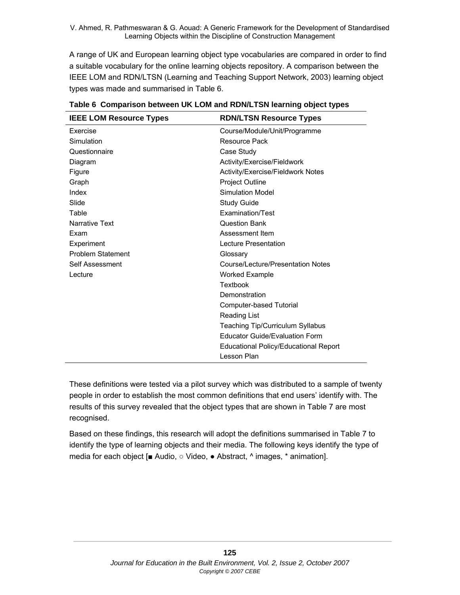A range of UK and European learning object type vocabularies are compared in order to find a suitable vocabulary for the online learning objects repository. A comparison between the IEEE LOM and RDN/LTSN (Learning and Teaching Support Network, 2003) learning object types was made and summarised in Table 6.

**Table 6 Comparison between UK LOM and RDN/LTSN learning object types**

These definitions were tested via a pilot survey which was distributed to a sample of twenty people in order to establish the most common definitions that end users' identify with. The results of this survey revealed that the object types that are shown in Table 7 are most recognised.

Based on these findings, this research will adopt the definitions summarised in Table 7 to identify the type of learning objects and their media. The following keys identify the type of media for each object [■ Audio, ○ Video, ● Abstract, ^ images, \* animation].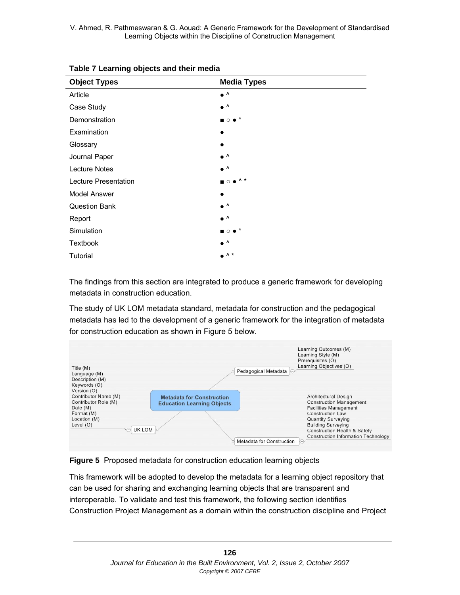| ___ <sub>J</sub> ___ |                                                |  |
|----------------------|------------------------------------------------|--|
| <b>Object Types</b>  | <b>Media Types</b>                             |  |
| Article              | $\bullet$ <sup><math>\wedge</math></sup>       |  |
| Case Study           | $\bullet$ ^                                    |  |
| Demonstration        | $\blacksquare$<br>$\circ$ $\bullet$ $^{\star}$ |  |
| Examination          |                                                |  |
| Glossary             |                                                |  |
| Journal Paper        | $\bullet$ ^                                    |  |
| <b>Lecture Notes</b> | $\bullet$ ^                                    |  |
| Lecture Presentation | $\blacksquare$ $\circ$ $\bullet$ ^ *           |  |
| <b>Model Answer</b>  | $\bullet$                                      |  |
| <b>Question Bank</b> | $\bullet$ ^                                    |  |
| Report               | $\bullet$ <sup><math>\wedge</math></sup>       |  |
| Simulation           | $\blacksquare$<br>$\circ$ $\bullet$ $^{\star}$ |  |
| Textbook             | $\bullet$ ^                                    |  |
| Tutorial             | $\bullet$ ^ *                                  |  |

#### **Table 7 Learning objects and their media**

The findings from this section are integrated to produce a generic framework for developing metadata in construction education.

The study of UK LOM metadata standard, metadata for construction and the pedagogical metadata has led to the development of a generic framework for the integration of metadata for construction education as shown in Figure 5 below.



#### **Figure 5** Proposed metadata for construction education learning objects

This framework will be adopted to develop the metadata for a learning object repository that can be used for sharing and exchanging learning objects that are transparent and interoperable. To validate and test this framework, the following section identifies Construction Project Management as a domain within the construction discipline and Project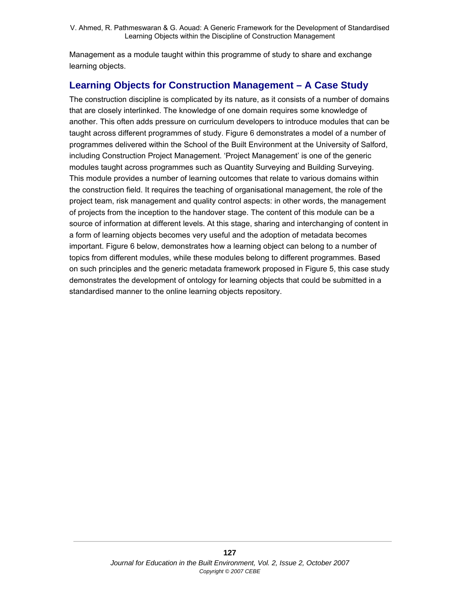Management as a module taught within this programme of study to share and exchange learning objects.

# **Learning Objects for Construction Management – A Case Study**

The construction discipline is complicated by its nature, as it consists of a number of domains that are closely interlinked. The knowledge of one domain requires some knowledge of another. This often adds pressure on curriculum developers to introduce modules that can be taught across different programmes of study. Figure 6 demonstrates a model of a number of programmes delivered within the School of the Built Environment at the University of Salford, including Construction Project Management. 'Project Management' is one of the generic modules taught across programmes such as Quantity Surveying and Building Surveying. This module provides a number of learning outcomes that relate to various domains within the construction field. It requires the teaching of organisational management, the role of the project team, risk management and quality control aspects: in other words, the management of projects from the inception to the handover stage. The content of this module can be a source of information at different levels. At this stage, sharing and interchanging of content in a form of learning objects becomes very useful and the adoption of metadata becomes important. Figure 6 below, demonstrates how a learning object can belong to a number of topics from different modules, while these modules belong to different programmes. Based on such principles and the generic metadata framework proposed in Figure 5, this case study demonstrates the development of ontology for learning objects that could be submitted in a standardised manner to the online learning objects repository.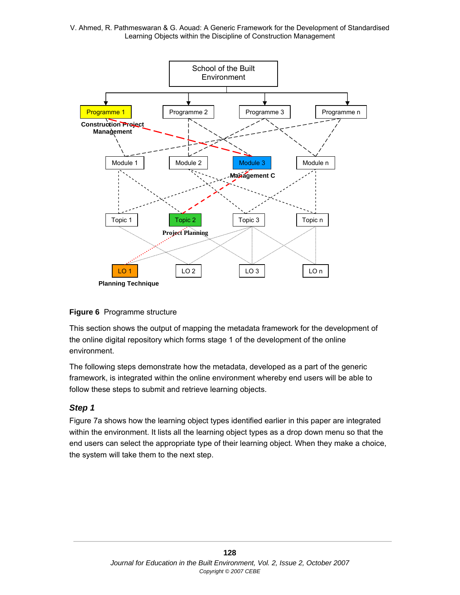

#### **Figure 6** Programme structure

This section shows the output of mapping the metadata framework for the development of the online digital repository which forms stage 1 of the development of the online environment.

The following steps demonstrate how the metadata, developed as a part of the generic framework, is integrated within the online environment whereby end users will be able to follow these steps to submit and retrieve learning objects.

#### *Step 1*

Figure 7a shows how the learning object types identified earlier in this paper are integrated within the environment. It lists all the learning object types as a drop down menu so that the end users can select the appropriate type of their learning object. When they make a choice, the system will take them to the next step.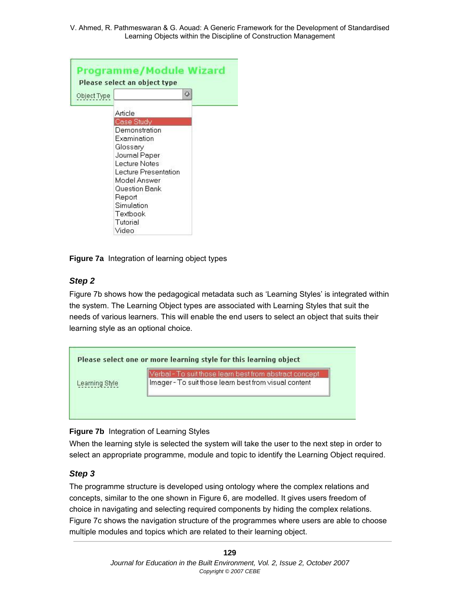|             | Programme/Module Wizard<br>Please select an object type |   |
|-------------|---------------------------------------------------------|---|
| Object Type |                                                         | O |
|             | Article                                                 |   |
|             | Case Study                                              |   |
|             | Demonstration                                           |   |
|             | Examination                                             |   |
|             | Glossary                                                |   |
|             | Journal Paper                                           |   |
|             | <b>Lecture Notes</b>                                    |   |
|             | Lecture Presentation                                    |   |
|             | Model Answer                                            |   |
|             | Question Bank                                           |   |
|             | Report                                                  |   |
|             | Simulation                                              |   |
|             | Textbook                                                |   |
|             | Tutorial                                                |   |
|             | Video                                                   |   |

**Figure 7a** Integration of learning object types

#### *Step 2*

Figure 7b shows how the pedagogical metadata such as 'Learning Styles' is integrated within the system. The Learning Object types are associated with Learning Styles that suit the needs of various learners. This will enable the end users to select an object that suits their learning style as an optional choice.



#### **Figure 7b** Integration of Learning Styles

When the learning style is selected the system will take the user to the next step in order to select an appropriate programme, module and topic to identify the Learning Object required.

#### *Step 3*

The programme structure is developed using ontology where the complex relations and concepts, similar to the one shown in Figure 6, are modelled. It gives users freedom of choice in navigating and selecting required components by hiding the complex relations. Figure 7c shows the navigation structure of the programmes where users are able to choose multiple modules and topics which are related to their learning object.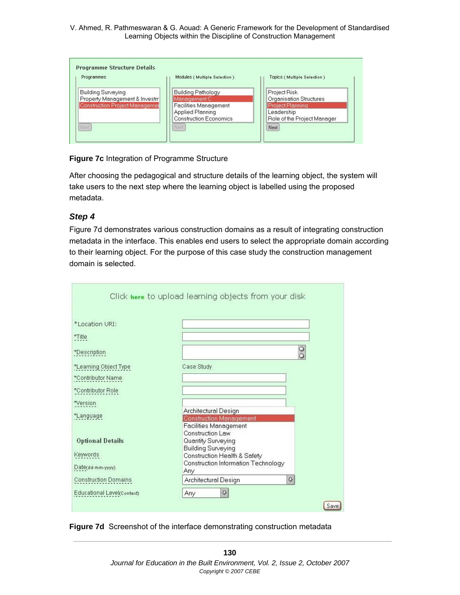

#### **Figure 7c** Integration of Programme Structure

After choosing the pedagogical and structure details of the learning object, the system will take users to the next step where the learning object is labelled using the proposed metadata.

#### *Step 4*

Figure 7d demonstrates various construction domains as a result of integrating construction metadata in the interface. This enables end users to select the appropriate domain according to their learning object. For the purpose of this case study the construction management domain is selected.

|                                                         | Click here to upload learning objects from your disk                                                                                                                |
|---------------------------------------------------------|---------------------------------------------------------------------------------------------------------------------------------------------------------------------|
| *Location URI:                                          |                                                                                                                                                                     |
| *Title                                                  |                                                                                                                                                                     |
| *Description                                            |                                                                                                                                                                     |
| *Learning Object Type                                   | Case Study                                                                                                                                                          |
| *Contributor Name                                       |                                                                                                                                                                     |
| *Contributor Role                                       |                                                                                                                                                                     |
| *Version                                                |                                                                                                                                                                     |
| *Language                                               | Architectural Design<br><b>Construction Management</b>                                                                                                              |
| <b>Optional Details</b><br>Keywords<br>Date(dd-mm-yyyy) | Facilities Management<br>Construction Law<br>Quantity Surveying<br><b>Building Surveying</b><br>Construction Health & Safety<br>Construction Information Technology |
| <b>Construction Domains</b>                             | Any<br>Ō<br>Architectural Design                                                                                                                                    |
|                                                         |                                                                                                                                                                     |
| Educational Level(Context)                              | $\circ$<br>Any                                                                                                                                                      |

#### **Figure 7d** Screenshot of the interface demonstrating construction metadata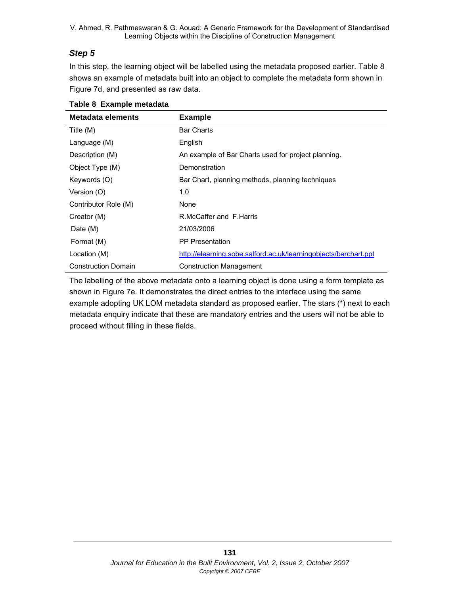#### *Step 5*

In this step, the learning object will be labelled using the metadata proposed earlier. Table 8 shows an example of metadata built into an object to complete the metadata form shown in Figure 7d, and presented as raw data.

| <b>Metadata elements</b>   | <b>Example</b>                                                   |
|----------------------------|------------------------------------------------------------------|
| Title (M)                  | <b>Bar Charts</b>                                                |
| Language (M)               | English                                                          |
| Description (M)            | An example of Bar Charts used for project planning.              |
| Object Type (M)            | Demonstration                                                    |
| Keywords (O)               | Bar Chart, planning methods, planning techniques                 |
| Version (O)                | 1.0                                                              |
| Contributor Role (M)       | None                                                             |
| Creator (M)                | R.McCaffer and F.Harris                                          |
| Date (M)                   | 21/03/2006                                                       |
| Format (M)                 | <b>PP</b> Presentation                                           |
| Location (M)               | http://elearning.sobe.salford.ac.uk/learningobjects/barchart.ppt |
| <b>Construction Domain</b> | <b>Construction Management</b>                                   |

**Table 8 Example metadata** 

The labelling of the above metadata onto a learning object is done using a form template as shown in Figure 7e. It demonstrates the direct entries to the interface using the same example adopting UK LOM metadata standard as proposed earlier. The stars (\*) next to each metadata enquiry indicate that these are mandatory entries and the users will not be able to proceed without filling in these fields.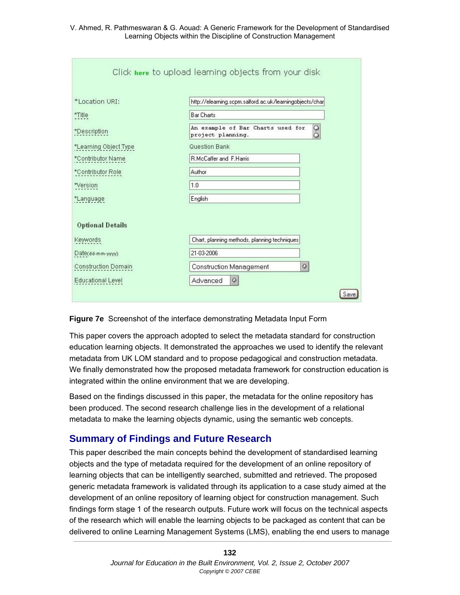|                            | Click here to upload learning objects from your disk        |
|----------------------------|-------------------------------------------------------------|
| *Location URI:             | http://elearning.scpm.salford.ac.uk/learningobjects/char    |
| *Title                     | <b>Bar Charts</b>                                           |
| *Description               | An example of Bar Charts used for<br>8<br>project planning. |
| *Learning Object Type      | Question Bank                                               |
| *Contributor Name          | <b>R.McCaffer and F.Harris</b>                              |
| *Contributor Role          | Author                                                      |
| *Version                   | 1.0                                                         |
| *Language                  | English                                                     |
|                            |                                                             |
| <b>Optional Details</b>    |                                                             |
| Keywords                   | Chart, planning methods, planning techniques                |
| Date(dd-mm-yyyy)           | 21-03-2006                                                  |
| <b>Construction Domain</b> | $\circ$<br><b>Construction Management</b>                   |
| <b>Educational Level</b>   | Advanced<br>$\circ$                                         |
|                            | Save                                                        |

#### **Figure 7e** Screenshot of the interface demonstrating Metadata Input Form

This paper covers the approach adopted to select the metadata standard for construction education learning objects. It demonstrated the approaches we used to identify the relevant metadata from UK LOM standard and to propose pedagogical and construction metadata. We finally demonstrated how the proposed metadata framework for construction education is integrated within the online environment that we are developing.

Based on the findings discussed in this paper, the metadata for the online repository has been produced. The second research challenge lies in the development of a relational metadata to make the learning objects dynamic, using the semantic web concepts.

## **Summary of Findings and Future Research**

This paper described the main concepts behind the development of standardised learning objects and the type of metadata required for the development of an online repository of learning objects that can be intelligently searched, submitted and retrieved. The proposed generic metadata framework is validated through its application to a case study aimed at the development of an online repository of learning object for construction management. Such findings form stage 1 of the research outputs. Future work will focus on the technical aspects of the research which will enable the learning objects to be packaged as content that can be delivered to online Learning Management Systems (LMS), enabling the end users to manage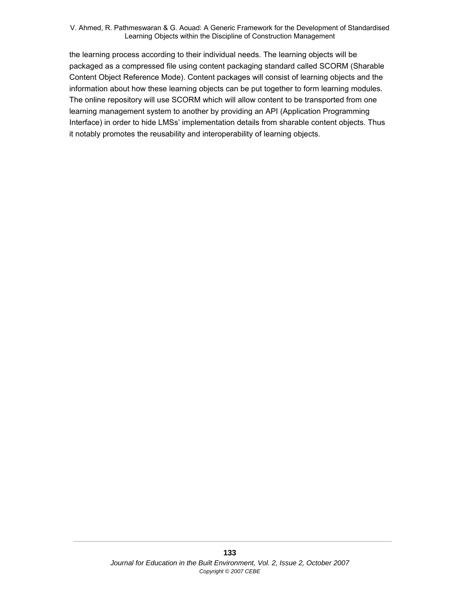the learning process according to their individual needs. The learning objects will be packaged as a compressed file using content packaging standard called SCORM (Sharable Content Object Reference Mode). Content packages will consist of learning objects and the information about how these learning objects can be put together to form learning modules. The online repository will use SCORM which will allow content to be transported from one learning management system to another by providing an API (Application Programming Interface) in order to hide LMSs' implementation details from sharable content objects. Thus it notably promotes the reusability and interoperability of learning objects.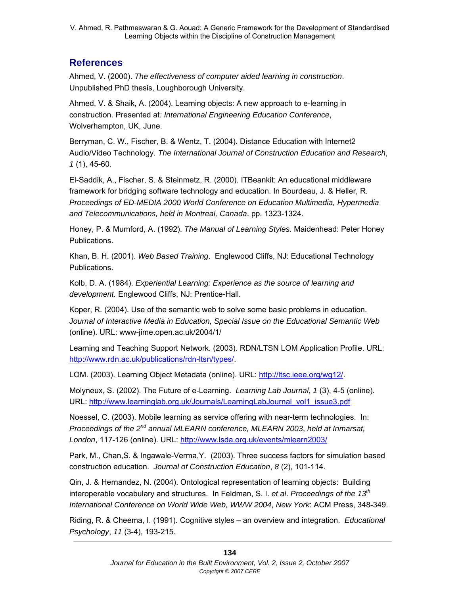## **References**

Ahmed, V. (2000). *The effectiveness of computer aided learning in construction*. Unpublished PhD thesis, Loughborough University.

Ahmed, V. & Shaik, A. (2004). Learning objects: A new approach to e-learning in construction. Presented at*: International Engineering Education Conference*, Wolverhampton, UK, June.

Berryman, C. W., Fischer, B. & Wentz, T. (2004). Distance Education with Internet2 Audio/Video Technology. *The International Journal of Construction Education and Research*, *1* (1), 45-60.

El-Saddik, A., Fischer, S. & Steinmetz, R. (2000). ITBeankit: An educational middleware framework for bridging software technology and education. In Bourdeau, J. & Heller, R. *Proceedings of ED-MEDIA 2000 World Conference on Education Multimedia, Hypermedia and Telecommunications, held in Montreal, Canada*. pp. 1323-1324.

Honey, P. & Mumford, A. (1992). *The Manual of Learning Styles.* Maidenhead: Peter Honey Publications.

Khan, B. H. (2001). *Web Based Training*. Englewood Cliffs, NJ: Educational Technology Publications.

Kolb, D. A. (1984). *Experiential Learning: Experience as the source of learning and development.* Englewood Cliffs, NJ: Prentice-Hall.

Koper, R. (2004). Use of the semantic web to solve some basic problems in education. *Journal of Interactive Media in Education, Special Issue on the Educational Semantic Web* (online). URL: www-jime.open.ac.uk/2004/1/

Learning and Teaching Support Network. (2003). RDN/LTSN LOM Application Profile. URL: [http://www.rdn.ac.uk/publications/rdn-ltsn/types/.](http://www.rdn.ac.uk/publications/rdn-ltsn/types/)

LOM. (2003). Learning Object Metadata (online). URL: http://ltsc.ieee.org/wg12/.

Molyneux, S. (2002). The Future of e-Learning. *Learning Lab Journal*, *1* (3), 4-5 (online). URL: [http://www.learninglab.org.uk/Journals/LearningLabJournal\\_vol1\\_issue3.pdf](http://www.learninglab.org.uk/Journals/LearningLabJournal_vol1_issue3.pdf)

Noessel, C. (2003). Mobile learning as service offering with near-term technologies. In: *Proceedings of the 2nd annual MLEARN conference, MLEARN 2003*, *held at Inmarsat, London*, 117-126 (online). URL:<http://www.lsda.org.uk/events/mlearn2003/>

Park, M., Chan,S. & Ingawale-Verma,Y. (2003). Three success factors for simulation based construction education. *Journal of Construction Education*, *8* (2), 101-114.

Qin, J. & Hernandez, N. (2004). Ontological representation of learning objects: Building interoperable vocabulary and structures. In Feldman, S. I. *et al*. *Proceedings of the 13th International Conference on World Wide Web, WWW 2004*, *New York*: ACM Press, 348-349.

Riding, R. & Cheema, I. (1991). Cognitive styles – an overview and integration. *Educational Psychology*, *11* (3-4), 193-215.